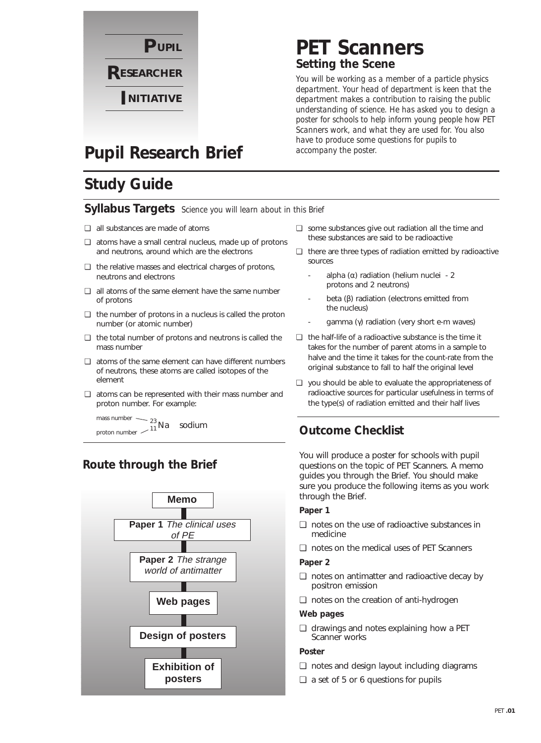

## **PET Scanners Setting the Scene**

*You will be working as a member of a particle physics department. Your head of department is keen that the department makes a contribution to raising the public understanding of science. He has asked you to design a poster for schools to help inform young people how PET Scanners work, and what they are used for. You also have to produce some questions for pupils to accompany the poster.*

## **Pupil Research Brief**

## **Study Guide**

#### **Syllabus Targets** *Science you will learn about in this Brief*

- ❏ all substances are made of atoms
- ❏ atoms have a small central nucleus, made up of protons and neutrons, around which are the electrons
- ❏ the relative masses and electrical charges of protons, neutrons and electrons
- ❏ all atoms of the same element have the same number of protons
- ❏ the number of protons in a nucleus is called the proton number (or atomic number)
- ❏ the total number of protons and neutrons is called the mass number
- ❏ atoms of the same element can have different numbers of neutrons, these atoms are called isotopes of the element
- ❏ atoms can be represented with their mass number and proton number. For example:

mass number proton number  $\frac{23}{11}$  Na sodium

#### **Route through the Brief**



- ❏ some substances give out radiation all the time and these substances are said to be radioactive
- ❏ there are three types of radiation emitted by radioactive sources
	- alpha  $(\alpha)$  radiation (helium nuclei 2 protons and 2 neutrons)
	- beta (β) radiation (electrons emitted from the nucleus)
	- qamma (γ) radiation (very short e-m waves)
- ❏ the half-life of a radioactive substance is the time it takes for the number of parent atoms in a sample to halve and the time it takes for the count-rate from the original substance to fall to half the original level
- ❏ you should be able to evaluate the appropriateness of radioactive sources for particular usefulness in terms of the type(s) of radiation emitted and their half lives

#### **Outcome Checklist**

You will produce a poster for schools with pupil questions on the topic of PET Scanners. A memo guides you through the Brief. You should make sure you produce the following items as you work through the Brief.

#### **Paper 1**

- ❏ notes on the use of radioactive substances in medicine
- ❏ notes on the medical uses of PET Scanners

#### **Paper 2**

- ❏ notes on antimatter and radioactive decay by positron emission
- ❏ notes on the creation of anti-hydrogen

#### **Web pages**

❏ drawings and notes explaining how a PET Scanner works

#### **Poster**

- ❏ notes and design layout including diagrams
- ❏ a set of 5 or 6 questions for pupils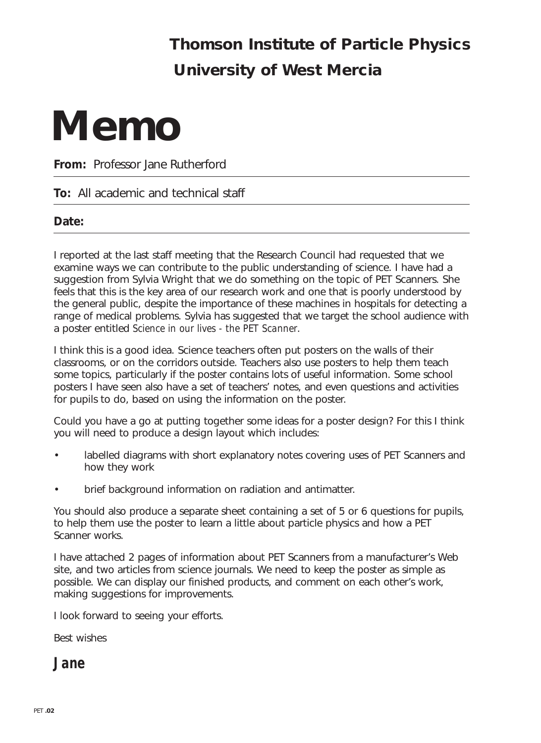## **Thomson Institute of Particle Physics University of West Mercia**

# **Memo**

**From:** Professor Jane Rutherford

#### **To:** All academic and technical staff

#### **Date:**

I reported at the last staff meeting that the Research Council had requested that we examine ways we can contribute to the public understanding of science. I have had a suggestion from Sylvia Wright that we do something on the topic of PET Scanners. She feels that this is the key area of our research work and one that is poorly understood by the general public, despite the importance of these machines in hospitals for detecting a range of medical problems. Sylvia has suggested that we target the school audience with a poster entitled *Science in our lives - the PET Scanner*.

I think this is a good idea. Science teachers often put posters on the walls of their classrooms, or on the corridors outside. Teachers also use posters to help them teach some topics, particularly if the poster contains lots of useful information. Some school posters I have seen also have a set of teachers' notes, and even questions and activities for pupils to do, based on using the information on the poster.

Could you have a go at putting together some ideas for a poster design? For this I think you will need to produce a design layout which includes:

- labelled diagrams with short explanatory notes covering uses of PET Scanners and how they work
- brief background information on radiation and antimatter.

You should also produce a separate sheet containing a set of 5 or 6 questions for pupils, to help them use the poster to learn a little about particle physics and how a PET Scanner works.

I have attached 2 pages of information about PET Scanners from a manufacturer's Web site, and two articles from science journals. We need to keep the poster as simple as possible. We can display our finished products, and comment on each other's work, making suggestions for improvements.

I look forward to seeing your efforts.

Best wishes

**Jane**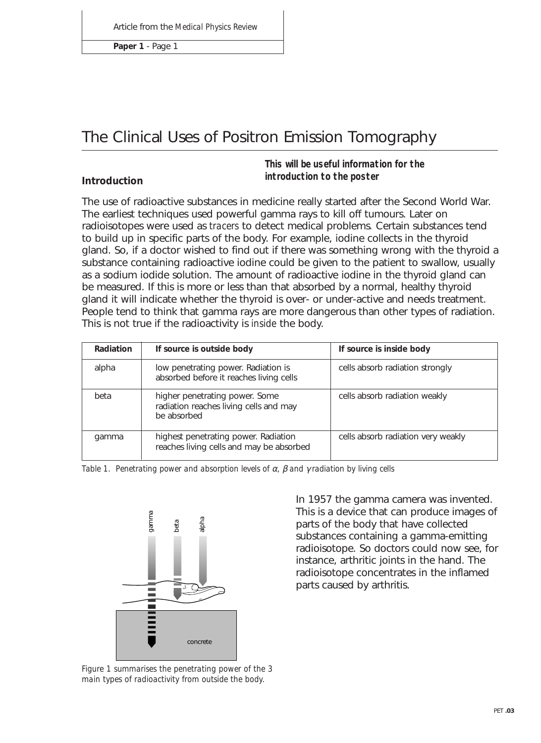**Paper 1** - Page 1

## The Clinical Uses of Positron Emission Tomography

#### **Introduction**

**This will be useful information for the introduction to the poster**

The use of radioactive substances in medicine really started after the Second World War. The earliest techniques used powerful gamma rays to kill off tumours. Later on radioisotopes were used as *tracers* to detect medical problems*.* Certain substances tend to build up in specific parts of the body. For example, iodine collects in the thyroid gland. So, if a doctor wished to find out if there was something wrong with the thyroid a substance containing radioactive iodine could be given to the patient to swallow, usually as a sodium iodide solution. The amount of radioactive iodine in the thyroid gland can be measured. If this is more or less than that absorbed by a normal, healthy thyroid gland it will indicate whether the thyroid is over- or under-active and needs treatment. People tend to think that gamma rays are more dangerous than other types of radiation. This is not true if the radioactivity is *inside* the body.

| Radiation | If source is outside body                                                               | If source is inside body           |
|-----------|-----------------------------------------------------------------------------------------|------------------------------------|
| alpha     | low penetrating power. Radiation is<br>absorbed before it reaches living cells          | cells absorb radiation strongly    |
| beta      | higher penetrating power. Some<br>radiation reaches living cells and may<br>be absorbed | cells absorb radiation weakly      |
| gamma     | highest penetrating power. Radiation<br>reaches living cells and may be absorbed        | cells absorb radiation very weakly |

*Table 1. Penetrating power and absorption levels of* α*,* β *and* γ *radiation by living cells*



*Figure 1 summarises the penetrating power of the 3 main types of radioactivity from outside the body.*

In 1957 the gamma camera was invented. This is a device that can produce images of parts of the body that have collected substances containing a gamma-emitting radioisotope. So doctors could now see, for instance, arthritic joints in the hand. The radioisotope concentrates in the inflamed parts caused by arthritis.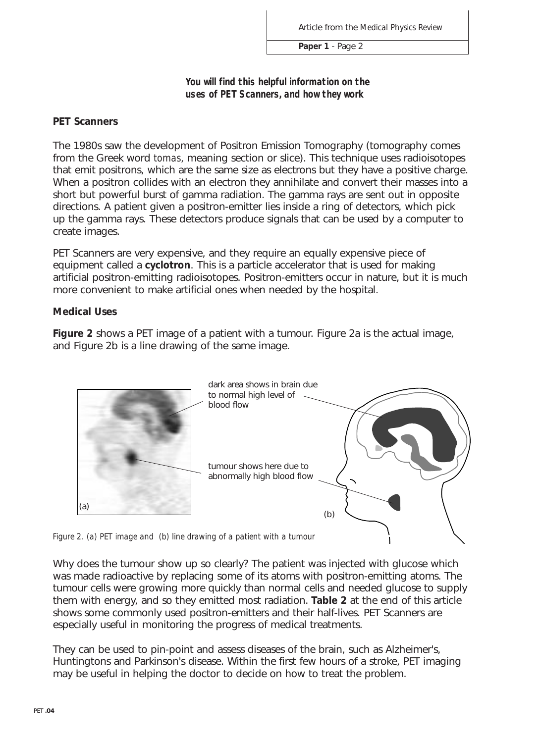**Paper 1** - Page 2

**You will find this helpful information on the uses of PET Scanners, and how they work**

#### **PET Scanners**

The 1980s saw the development of Positron Emission Tomography (tomography comes from the Greek word *tomas*, meaning section or slice). This technique uses radioisotopes that emit positrons, which are the same size as electrons but they have a positive charge. When a positron collides with an electron they annihilate and convert their masses into a short but powerful burst of gamma radiation. The gamma rays are sent out in opposite directions. A patient given a positron-emitter lies inside a ring of detectors, which pick up the gamma rays. These detectors produce signals that can be used by a computer to create images.

PET Scanners are very expensive, and they require an equally expensive piece of equipment called a **cyclotron**. This is a particle accelerator that is used for making artificial positron-emitting radioisotopes. Positron-emitters occur in nature, but it is much more convenient to make artificial ones when needed by the hospital.

#### **Medical Uses**

**Figure 2** shows a PET image of a patient with a tumour. Figure 2a is the actual image, and Figure 2b is a line drawing of the same image.



*Figure 2. (a) PET image and (b) line drawing of a patient with a tumour*

Why does the tumour show up so clearly? The patient was injected with glucose which was made radioactive by replacing some of its atoms with positron-emitting atoms. The tumour cells were growing more quickly than normal cells and needed glucose to supply them with energy, and so they emitted most radiation. **Table 2** at the end of this article shows some commonly used positron-emitters and their half-lives. PET Scanners are especially useful in monitoring the progress of medical treatments.

They can be used to pin-point and assess diseases of the brain, such as Alzheimer's, Huntingtons and Parkinson's disease. Within the first few hours of a stroke, PET imaging may be useful in helping the doctor to decide on how to treat the problem.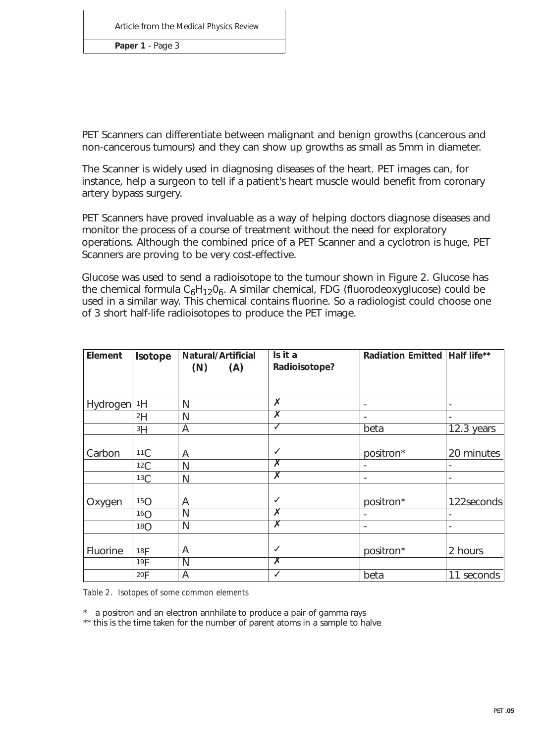**Paper 1** - Page 3

PET Scanners can differentiate between malignant and benign growths (cancerous and non-cancerous tumours) and they can show up growths as small as 5mm in diameter.

The Scanner is widely used in diagnosing diseases of the heart. PET images can, for instance, help a surgeon to tell if a patient's heart muscle would benefit from coronary artery bypass surgery.

PET Scanners have proved invaluable as a way of helping doctors diagnose diseases and monitor the process of a course of treatment without the need for exploratory operations. Although the combined price of a PET Scanner and a cyclotron is huge, PET Scanners are proving to be very cost-effective.

Glucose was used to send a radioisotope to the tumour shown in Figure 2. Glucose has the chemical formula  $C_6H_{12}O_6$ . A similar chemical, FDG (fluorodeoxyglucose) could be used in a similar way. This chemical contains fluorine. So a radiologist could choose one of 3 short half-life radioisotopes to produce the PET image.

| Element     | Isotope         | Natural/Artificial<br>(A)<br>(N) | Is it a<br>Radioisotope?                | Radiation Emitted   Half life** |            |
|-------------|-----------------|----------------------------------|-----------------------------------------|---------------------------------|------------|
| Hydrogen 1H |                 | N                                | X                                       | ٠                               |            |
|             | 2H              | N                                | $\overline{\textsf{x}}$                 |                                 |            |
|             | 3H              | A                                | √                                       | beta                            | 12.3 years |
| Carbon      | 11C             | A                                | ✓<br>$\overline{\bm{x}}$                | positron*                       | 20 minutes |
|             | 12C             | N                                | $\overline{\textsf{x}}$                 |                                 |            |
|             | 13C             | N                                |                                         | $\overline{\phantom{a}}$        |            |
| Oxygen      | 15 <sub>O</sub> | Α                                | $\checkmark$                            | positron*                       | 122seconds |
|             | 16 <sub>O</sub> | N                                | $\overline{\textsf{x}}$                 |                                 |            |
|             | 18 <sub>O</sub> | N                                | $\overline{\textsf{x}}$                 | $\overline{\phantom{a}}$        |            |
| Fluorine    | 18F<br>19F      | A<br>N                           | $\checkmark$<br>$\overline{\textsf{x}}$ | positron*                       | 2 hours    |
|             | 20F             | A                                | $\checkmark$                            | beta                            | 11 seconds |

*Table 2. Isotopes of some common elements*

\* a positron and an electron annhilate to produce a pair of gamma rays

\*\* this is the time taken for the number of parent atoms in a sample to halve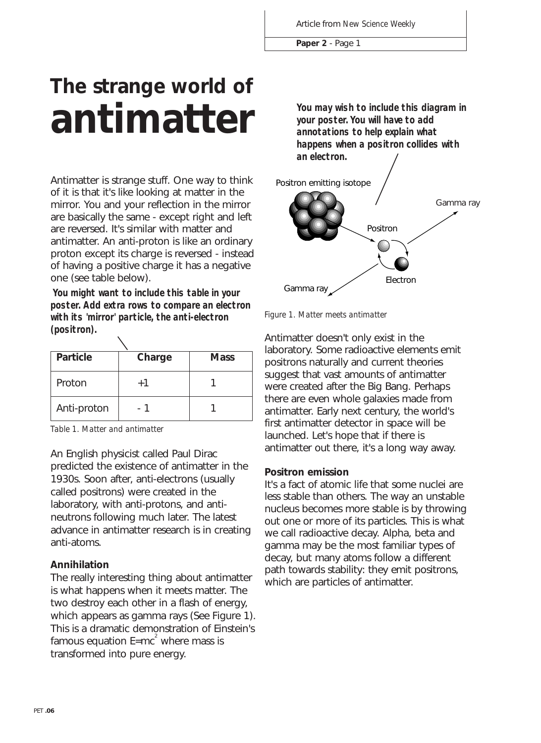**Paper 2** - Page 1

## **The strange world of antimatter**

Antimatter is strange stuff. One way to think of it is that it's like looking at matter in the mirror. You and your reflection in the mirror are basically the same - except right and left are reversed. It's similar with matter and antimatter. An anti-proton is like an ordinary proton except its charge is reversed - instead of having a positive charge it has a negative one (see table below).

Gamma ray **You might want to include this table in your poster. Add extra rows to compare an electron with its 'mirror' particle, the anti-electron (positron).**

| <b>Particle</b> | Charge | <b>Mass</b> |
|-----------------|--------|-------------|
| Proton          | $+1$   |             |
| Anti-proton     |        |             |

*Table 1. Matter and antimatter*

An English physicist called Paul Dirac predicted the existence of antimatter in the 1930s. Soon after, anti-electrons (usually called positrons) were created in the laboratory, with anti-protons, and antineutrons following much later. The latest advance in antimatter research is in creating anti-atoms.

#### **Annihilation**

The really interesting thing about antimatter is what happens when it meets matter. The two destroy each other in a flash of energy, which appears as gamma rays (See Figure 1). This is a dramatic demonstration of Einstein's famous equation  $\mathsf{E}\text{=}mc^2$  where mass is transformed into pure energy.

**You may wish to include this diagram in your poster. You will have to add annotations to help explain what happens when a positron collides with an electron.**



*Figure 1. Matter meets antimatter*

Antimatter doesn't only exist in the laboratory. Some radioactive elements emit positrons naturally and current theories suggest that vast amounts of antimatter were created after the Big Bang. Perhaps there are even whole galaxies made from antimatter. Early next century, the world's first antimatter detector in space will be launched. Let's hope that if there is antimatter out there, it's a long way away.

#### **Positron emission**

It's a fact of atomic life that some nuclei are less stable than others. The way an unstable nucleus becomes more stable is by throwing out one or more of its particles. This is what we call radioactive decay. Alpha, beta and gamma may be the most familiar types of decay, but many atoms follow a different path towards stability: they emit positrons, which are particles of antimatter.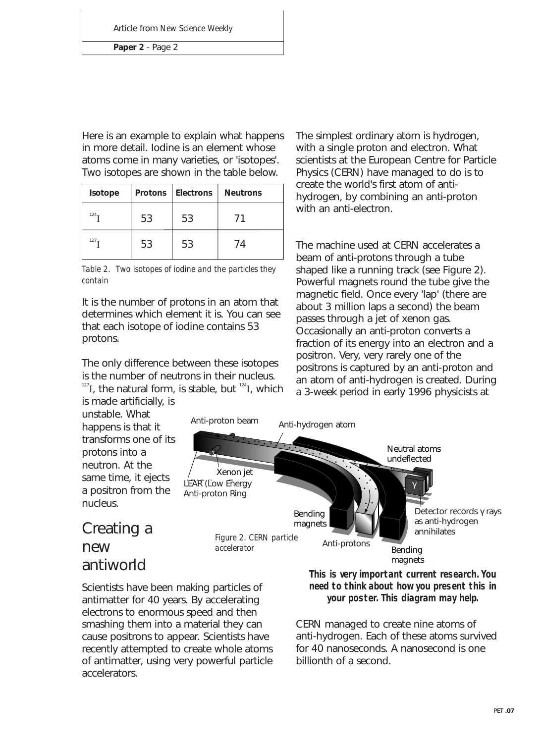**Paper 2** - Page 2

Here is an example to explain what happens in more detail. Iodine is an element whose atoms come in many varieties, or 'isotopes'. Two isotopes are shown in the table below.

| Isotope | <b>Protons</b> | <b>Electrons</b> | <b>Neutrons</b> |
|---------|----------------|------------------|-----------------|
| $124 -$ | 53             | 53               | 71              |
| $127 -$ | 53             | 53               | 74              |

*Table 2. Two isotopes of iodine and the particles they contain*

It is the number of protons in an atom that determines which element it is. You can see that each isotope of iodine contains 53 protons.

The only difference between these isotopes is the number of neutrons in their nucleus.

 $127$ I, the natural form, is stable, but  $124$ I, which is made artificially, is

unstable. What happens is that it transforms one of its protons into a neutron. At the same time, it ejects a positron from the nucleus.

The simplest ordinary atom is hydrogen, with a single proton and electron. What scientists at the European Centre for Particle Physics (CERN) have managed to do is to create the world's first atom of antihydrogen, by combining an anti-proton with an anti-electron.

The machine used at CERN accelerates a beam of anti-protons through a tube shaped like a running track (see Figure 2). Powerful magnets round the tube give the magnetic field. Once every 'lap' (there are about 3 million laps a second) the beam passes through a jet of xenon gas. Occasionally an anti-proton converts a fraction of its energy into an electron and a positron. Very, very rarely one of the positrons is captured by an anti-proton and an atom of anti-hydrogen is created. During a 3-week period in early 1996 physicists at



## Creating a new antiworld

Scientists have been making particles of antimatter for 40 years. By accelerating electrons to enormous speed and then smashing them into a material they can cause positrons to appear. Scientists have recently attempted to create whole atoms of antimatter, using very powerful particle accelerators.

**This is very important current research. You need to think about how you present this in your poster. This diagram may help.**

CERN managed to create nine atoms of anti-hydrogen. Each of these atoms survived for 40 nanoseconds. A nanosecond is one billionth of a second.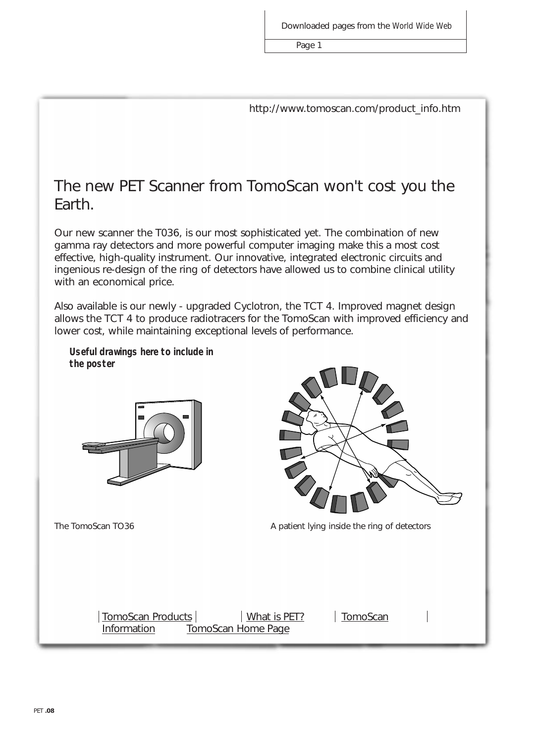Page 1

http://www.tomoscan.com/product\_info.htm

## The new PET Scanner from TomoScan won't cost you the Earth.

Our new scanner the T036, is our most sophisticated yet. The combination of new gamma ray detectors and more powerful computer imaging make this a most cost effective, high-quality instrument. Our innovative, integrated electronic circuits and ingenious re-design of the ring of detectors have allowed us to combine clinical utility with an economical price.

Also available is our newly - upgraded Cyclotron, the TCT 4. Improved magnet design allows the TCT 4 to produce radiotracers for the TomoScan with improved efficiency and lower cost, while maintaining exceptional levels of performance.